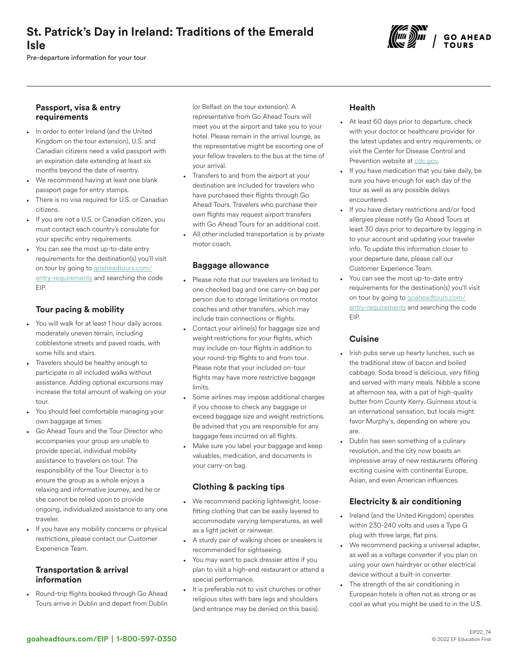# St. Patrick's Day in Ireland: Traditions of the Emerald Isle

Pre-departure information for your tour



#### Passport, visa & entry requirements

- In order to enter Ireland (and the United Kingdom on the tour extension), U.S. and Canadian citizens need a valid passport with an expiration date extending at least six months beyond the date of reentry.
- We recommend having at least one blank passport page for entry stamps.
- There is no visa required for U.S. or Canadian citizens.
- If you are not a U.S. or Canadian citizen, you must contact each country's consulate for your specific entry requirements.
- You can see the most up-to-date entry requirements for the destination(s) you'll visit on tour by going to [goaheadtours.com/](/entry-requirements?tourCode=EIP) [entry-requirements](/entry-requirements?tourCode=EIP) and searching the code EIP.

## Tour pacing & mobility

- You will walk for at least 1 hour daily across moderately uneven terrain, including cobblestone streets and paved roads, with some hills and stairs.
- Travelers should be healthy enough to participate in all included walks without assistance. Adding optional excursions may increase the total amount of walking on your tour.
- You should feel comfortable managing your own baggage at times.
- Go Ahead Tours and the Tour Director who accompanies your group are unable to provide special, individual mobility assistance to travelers on tour. The responsibility of the Tour Director is to ensure the group as a whole enjoys a relaxing and informative journey, and he or she cannot be relied upon to provide ongoing, individualized assistance to any one traveler.
- If you have any mobility concerns or physical restrictions, please contact our Customer Experience Team.

#### Transportation & arrival information

• Round-trip flights booked through Go Ahead Tours arrive in Dublin and depart from Dublin (or Belfast on the tour extension). A representative from Go Ahead Tours will meet you at the airport and take you to your hotel. Please remain in the arrival lounge, as the representative might be escorting one of your fellow travelers to the bus at the time of your arrival.

- Transfers to and from the airport at your destination are included for travelers who have purchased their flights through Go Ahead Tours. Travelers who purchase their own flights may request airport transfers with Go Ahead Tours for an additional cost.
- All other included transportation is by private motor coach.

## Baggage allowance

- Please note that our travelers are limited to one checked bag and one carry-on bag per person due to storage limitations on motor coaches and other transfers, which may include train connections or flights.
- Contact your airline(s) for baggage size and weight restrictions for your flights, which may include on-tour flights in addition to your round-trip flights to and from tour. Please note that your included on-tour flights may have more restrictive baggage limits.
- Some airlines may impose additional charges if you choose to check any baggage or exceed baggage size and weight restrictions. Be advised that you are responsible for any baggage fees incurred on all flights.
- Make sure you label your baggage and keep valuables, medication, and documents in your carry-on bag.

# Clothing & packing tips

- We recommend packing lightweight, loosefitting clothing that can be easily layered to accommodate varying temperatures, as well as a light jacket or rainwear.
- A sturdy pair of walking shoes or sneakers is recommended for sightseeing.
- You may want to pack dressier attire if you plan to visit a high-end restaurant or attend a special performance.
- It is preferable not to visit churches or other religious sites with bare legs and shoulders (and entrance may be denied on this basis).

# Health

- At least 60 days prior to departure, check with your doctor or healthcare provider for the latest updates and entry requirements, or visit the Center for Disease Control and Prevention website at [cdc.gov.](https://www.cdc.gov/)
- If you have medication that you take daily, be sure you have enough for each day of the tour as well as any possible delays encountered.
- If you have dietary restrictions and/or food allergies please notify Go Ahead Tours at least 30 days prior to departure by logging in to your account and updating your traveler info. To update this information closer to your departure date, please call our Customer Experience Team.
- You can see the most up-to-date entry requirements for the destination(s) you'll visit on tour by going to [goaheadtours.com/](/entry-requirements?tourCode=EIP) [entry-requirements](/entry-requirements?tourCode=EIP) and searching the code EIP.

## **Cuisine**

- Irish pubs serve up hearty lunches, such as the traditional stew of bacon and boiled cabbage. Soda bread is delicious, very filling and served with many meals. Nibble a scone at afternoon tea, with a pat of high-quality butter from County Kerry. Guinness stout is an international sensation, but locals might favor Murphy's, depending on where you are.
- Dublin has seen something of a culinary revolution, and the city now boasts an impressive array of new restaurants offering exciting cuisine with continental Europe, Asian, and even American influences.

## Electricity & air conditioning

- Ireland (and the United Kingdom) operates within 230-240 volts and uses a Type G plug with three large, flat pins.
- We recommend packing a universal adapter, as well as a voltage converter if you plan on using your own hairdryer or other electrical device without a built-in converter.
- The strength of the air conditioning in European hotels is often not as strong or as cool as what you might be used to in the U.S.